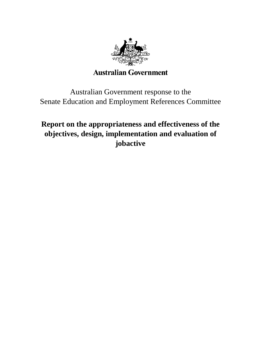

# **Australian Government**

Australian Government response to the Senate Education and Employment References Committee

# **Report on the appropriateness and effectiveness of the objectives, design, implementation and evaluation of jobactive**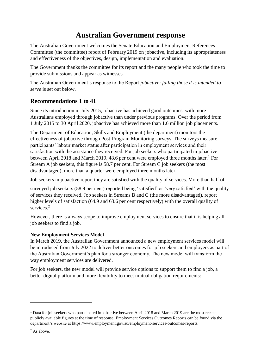# **Australian Government response**

The Australian Government welcomes the Senate Education and Employment References Committee (the committee) report of February 2019 on jobactive, including its appropriateness and effectiveness of the objectives, design, implementation and evaluation.

The Government thanks the committee for its report and the many people who took the time to provide submissions and appear as witnesses.

The Australian Government's response to the Report *jobactive: failing those it is intended to serve* is set out below.

# **Recommendations 1 to 41**

Since its introduction in July 2015, jobactive has achieved good outcomes, with more Australians employed through jobactive than under previous programs. Over the period from 1 July 2015 to 30 April 2020, jobactive has achieved more than 1.6 million job placements.

The Department of Education, Skills and Employment (the department) monitors the effectiveness of jobactive through Post-Program Monitoring surveys. The surveys measure participants' labour market status after participation in employment services and their satisfaction with the assistance they received. For job seekers who participated in jobactive between April 2018 and March 2019, 48.6 per cent were employed three months later.<sup>1</sup> For Stream A job seekers, this figure is 58.7 per cent. For Stream C job seekers (the most disadvantaged), more than a quarter were employed three months later.

Job seekers in jobactive report they are satisfied with the quality of services. More than half of

surveyed job seekers (58.9 per cent) reported being 'satisfied' or 'very satisfied' with the quality of services they received. Job seekers in Streams B and C (the more disadvantaged), report higher levels of satisfaction (64.9 and 63.6 per cent respectively) with the overall quality of services.<sup>2</sup>

However, there is always scope to improve employment services to ensure that it is helping all job seekers to find a job.

### **New Employment Services Model**

In March 2019, the Australian Government announced a new employment services model will be introduced from July 2022 to deliver better outcomes for job seekers and employers as part of the Australian Government's plan for a stronger economy. The new model will transform the way employment services are delivered.

For job seekers, the new model will provide service options to support them to find a job, a better digital platform and more flexibility to meet mutual obligation requirements:

 $\overline{a}$ 

<sup>&</sup>lt;sup>1</sup> Data for job seekers who participated in jobactive between April 2018 and March 2019 are the most recent publicly available figures at the time of response. Employment Services Outcomes Reports can be found via the department's website at https://www.employment.gov.au/employment-services-outcomes-reports.

<sup>&</sup>lt;sup>2</sup> As above.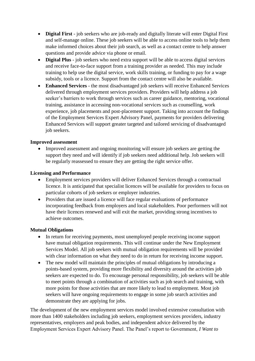- **Digital First** job seekers who are job-ready and digitally literate will enter Digital First and self-manage online. These job seekers will be able to access online tools to help them make informed choices about their job search, as well as a contact centre to help answer questions and provide advice via phone or email.
- **Digital Plus** job seekers who need extra support will be able to access digital services and receive face-to-face support from a training provider as needed. This may include training to help use the digital service, work skills training, or funding to pay for a wage subsidy, tools or a licence. Support from the contact centre will also be available.
- **Enhanced Services** the most disadvantaged job seekers will receive Enhanced Services delivered through employment services providers. Providers will help address a job seeker's barriers to work through services such as career guidance, mentoring, vocational training, assistance in accessing non-vocational services such as counselling, work experience, job placements and post-placement support. Taking into account the findings of the Employment Services Expert Advisory Panel, payments for providers delivering Enhanced Services will support greater targeted and tailored servicing of disadvantaged job seekers.

#### **Improved assessment**

 Improved assessment and ongoing monitoring will ensure job seekers are getting the support they need and will identify if job seekers need additional help. Job seekers will be regularly reassessed to ensure they are getting the right service offer.

#### **Licensing and Performance**

- Employment services providers will deliver Enhanced Services through a contractual licence. It is anticipated that specialist licences will be available for providers to focus on particular cohorts of job seekers or employer industries.
- Providers that are issued a licence will face regular evaluations of performance incorporating feedback from employers and local stakeholders. Poor performers will not have their licences renewed and will exit the market, providing strong incentives to achieve outcomes.

#### **Mutual Obligations**

- In return for receiving payments, most unemployed people receiving income support have mutual obligation requirements. This will continue under the New Employment Services Model. All job seekers with mutual obligation requirements will be provided with clear information on what they need to do in return for receiving income support.
- The new model will maintain the principles of mutual obligations by introducing a points-based system, providing more flexibility and diversity around the activities job seekers are expected to do. To encourage personal responsibility, job seekers will be able to meet points through a combination of activities such as job search and training, with more points for those activities that are more likely to lead to employment. Most job seekers will have ongoing requirements to engage in some job search activities and demonstrate they are applying for jobs.

The development of the new employment services model involved extensive consultation with more than 1400 stakeholders including job seekers, employment services providers, industry representatives, employers and peak bodies, and independent advice delivered by the Employment Services Expert Advisory Panel. The Panel's report to Government, *I Want to*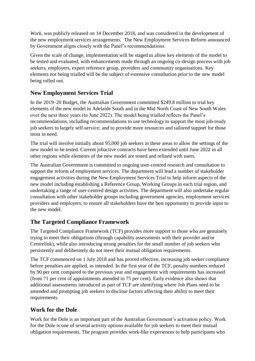*Work*, was publicly released on 14 December 2018, and was considered in the development of the new employment services arrangements. The New Employment Services Reform announced by Government aligns closely with the Panel's recommendations.

Given the scale of change, implementation will be staged to allow key elements of the model to be tested and evaluated, with enhancements made through an ongoing co-design process with job seekers, employers, expert reference group, providers and community organisations. Key elements not being trialled will be the subject of extensive consultation prior to the new model being rolled out.

# **New Employment Services Trial**

In the 2019–20 Budget, the Australian Government committed \$249.8 million to trial key elements of the new model in Adelaide South and in the Mid North Coast of New South Wales over the next three years (to June 2022). The model being trialled reflects the Panel's recommendations, including recommendations to use technology to support the most job-ready job seekers to largely self-service; and to provide more resources and tailored support for those most in need.

The trial will involve initially about 95,000 job seekers in these areas to allow the settings of the new model to be tested. Current jobactive contracts have been extended until June 2022 in all other regions while elements of the new model are tested and refined with users.

The Australian Government is committed to ongoing user-centred research and consultation to support the reform of employment services. The department will lead a number of stakeholder engagement activities during the New Employment Services Trial to help inform aspects of the new model including establishing a Reference Group, Working Groups in each trial region, and undertaking a range of user-centred design activities. The department will also undertake regular consultation with other stakeholder groups including government agencies, employment services providers and employers, to ensure all stakeholders have the best opportunity to provide input to the new model.

## **The Targeted Compliance Framework**

The Targeted Compliance Framework (TCF) provides more support to those who are genuinely trying to meet their obligations (through capability assessments with their provider and/or Centrelink), while also introducing strong penalties for the small number of job seekers who persistently and deliberately do not meet their mutual obligation requirements.

The TCF commenced on 1 July 2018 and has proved effective, increasing job seeker compliance before penalties are applied, as intended. In the first year of the TCF, penalty numbers reduced by 90 per cent compared to the previous year and engagement with requirements has increased (from 71 per cent of appointments attended to 75 per cent). Early evidence also shows that additional assessments introduced as part of TCF are identifying where Job Plans need to be amended and prompting job seekers to disclose factors affecting their ability to meet their requirements.

## **Work for the Dole**

Work for the Dole is an important part of the Australian Government's activation policy. Work for the Dole is one of several activity options available for job seekers to meet their mutual obligation requirements. The program provides work-like experiences to help participants who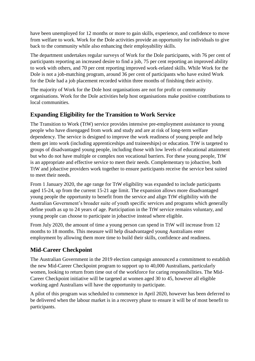have been unemployed for 12 months or more to gain skills, experience, and confidence to move from welfare to work. Work for the Dole activities provide an opportunity for individuals to give back to the community while also enhancing their employability skills.

The department undertakes regular surveys of Work for the Dole participants, with 76 per cent of participants reporting an increased desire to find a job, 75 per cent reporting an improved ability to work with others, and 70 per cent reporting improved work-related skills. While Work for the Dole is not a job-matching program, around 36 per cent of participants who have exited Work for the Dole had a job placement recorded within three months of finishing their activity.

The majority of Work for the Dole host organisations are not for profit or community organisations. Work for the Dole activities help host organisations make positive contributions to local communities.

# **Expanding Eligibility for the Transition to Work Service**

The Transition to Work (TtW) service provides intensive pre-employment assistance to young people who have disengaged from work and study and are at risk of long-term welfare dependency. The service is designed to improve the work readiness of young people and help them get into work (including apprenticeships and traineeships) or education. TtW is targeted to groups of disadvantaged young people, including those with low levels of educational attainment but who do not have multiple or complex non vocational barriers. For these young people, TtW is an appropriate and effective service to meet their needs. Complementary to jobactive, both TtW and jobactive providers work together to ensure participants receive the service best suited to meet their needs.

From 1 January 2020, the age range for TtW eligibility was expanded to include participants aged 15-24, up from the current 15-21 age limit. The expansion allows more disadvantaged young people the opportunity to benefit from the service and align TtW eligibility with the Australian Government's broader suite of youth specific services and programs which generally define youth as up to 24 years of age. Participation in the TtW service remains voluntary, and young people can choose to participate in jobactive instead where eligible.

From July 2020, the amount of time a young person can spend in TtW will increase from 12 months to 18 months. This measure will help disadvantaged young Australians enter employment by allowing them more time to build their skills, confidence and readiness.

# **Mid-Career Checkpoint**

The Australian Government in the 2019 election campaign announced a commitment to establish the new Mid-Career Checkpoint program to support up to 40,000 Australians, particularly women, looking to return from time out of the workforce for caring responsibilities. The Mid-Career Checkpoint initiative will be targeted at women aged 30 to 45, however all eligible working aged Australians will have the opportunity to participate.

A pilot of this program was scheduled to commence in April 2020, however has been deferred to be delivered when the labour market is in a recovery phase to ensure it will be of most benefit to participants.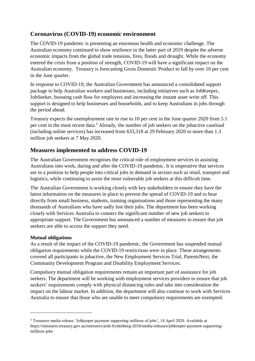## **Coronavirus (COVID-19) economic environment**

The COVID-19 pandemic is presenting an enormous health and economic challenge. The Australian economy continued to show resilience in the latter part of 2019 despite the adverse economic impacts from the global trade tensions, fires, floods and drought. While the economy entered the crisis from a position of strength, COVID-19 will have a significant impact on the Australian economy. Treasury is forecasting Gross Domestic Product to fall by over 10 per cent in the June quarter.

In response to COVID-19, the Australian Government has announced a consolidated support package to help Australian workers and businesses, including initiatives such as JobKeeper, JobSeeker, boosting cash flow for employers and increasing the instant asset write off. This support is designed to help businesses and households, and to keep Australians in jobs through the period ahead.

Treasury expects the unemployment rate to rise to 10 per cent in the June quarter 2020 from 5.1 per cent in the most recent data.<sup>3</sup> Already, the number of job seekers on the jobactive caseload (including online services) has increased from 633,318 at 29 February 2020 to more than 1.3 million job seekers at 7 May 2020.

## **Measures implemented to address COVID-19**

The Australian Government recognises the critical role of employment services in assisting Australians into work, during and after the COVID-19 pandemic. It is imperative that services are in a position to help people into critical jobs in demand in sectors such as retail, transport and logistics, while continuing to assist the most vulnerable job seekers at this difficult time.

The Australian Government is working closely with key stakeholders to ensure they have the latest information on the measures in place to prevent the spread of COVID-19 and to hear directly from small business, students, training organisations and those representing the many thousands of Australians who have sadly lost their jobs. The department has been working closely with Services Australia to connect the significant number of new job seekers to appropriate support. The Government has announced a number of measures to ensure that job seekers are able to access the support they need.

### **Mutual obligations**

 $\overline{a}$ 

As a result of the impact of the COVID-19 pandemic, the Government has suspended mutual obligation requirements while the COVID-19 restrictions were in place. These arrangements covered all participants in jobactive, the New Employment Services Trial, ParentsNext, the Community Development Program and Disability Employment Services.

Compulsory mutual obligation requirements remain an important part of assistance for job seekers. The department will be working with employment services providers to ensure that job seekers' requirements comply with physical distancing rules and take into consideration the impact on the labour market. In addition, the department will also continue to work with Services Australia to ensure that those who are unable to meet compulsory requirements are exempted.

<sup>3</sup> Treasurer media release 'Jobkeeper payment supporting millions of jobs', 14 April 2020. Available at https://ministers.treasury.gov.au/ministers/josh-frydenberg-2018/media-releases/jobkeeper-payment-supportingmillions-jobs